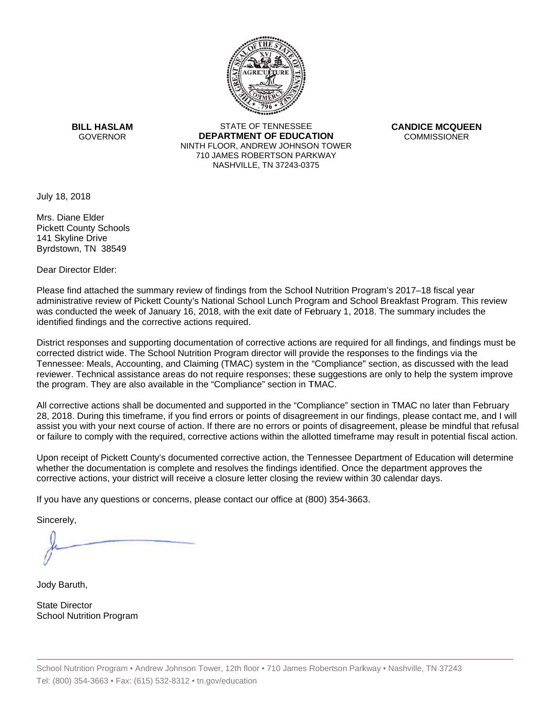

**BILL HASLAM** GOVERNOR **DEI** 

STATE OF TENNESSEE **EPARTMENT OF EDUCATION** NINTH FLOOR, ANDREW JOHNSON TOWER 710 JAMES ROBERTSON PARKWAY NASHVILLE,TN 37243-0375

**CANDICE MCQUEEN** CO OMMISSIONER

July 18, 2018

 Byrdstown, TN 38549 Mrs. Diane Elder Pickett County Schools 141 Skyline Drive

Dear Director Elder:

Please find attached the summary review of findings from the School Nutrition Program's 2017–18 fiscal year administrative review of Pickett County's National School Lunch Program and School Breakfast Program. This review was conducted the week of January 16, 2018, with the exit date of February 1, 2018. The summary includes the identified findings and the corrective actions required.

Tennessee: Meals, Accounting, and Claiming (TMAC) system in the "Compliance" section, as discussed with the lead District responses and supporting documentation of corrective actions are required for all findings, and findings must be corrected district wide. The School Nutrition Program director will provide the responses to the findings via the reviewer. Technical assistance areas do not require responses; these suggestions are only to help the system improve the program. They are also available in the "Compliance" section in TMAC.

All corrective actions shall be documented and supported in the "Compliance" section in TMAC no later than February 28, 2018. During this timeframe, if you find errors or points of disagreement in our findings, please contact me, and I will assist you with your next course of action. If there are no errors or points of disagreement, please be mindful that refusal or failure to comply with the required, corrective actions within the allotted timeframe may result in potential fiscal action.

Upon receipt of Pickett County's documented corrective action, the Tennessee Department of Education will determine whether the documentation is complete and resolves the findings identified. Once the department approves the corrective actions, your district will receive a closure letter closing the review within 30 calendar days.

If you have any questions or concerns, please contact our office at (800) 354-3663.

Sincerely,

Jody Baruth,

State Director School Nutrition Program